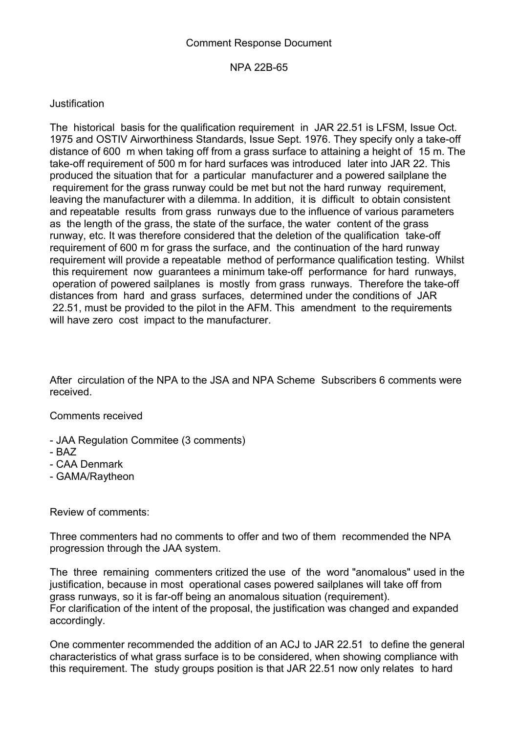## Comment Response Document

## NPA 22B-65

## Justification

The historical basis for the qualification requirement in JAR 22.51 is LFSM, Issue Oct. 1975 and OSTIV Airworthiness Standards, Issue Sept. 1976. They specify only a take-off distance of 600 m when taking off from a grass surface to attaining a height of 15 m. The take-off requirement of 500 m for hard surfaces was introduced later into JAR 22. This produced the situation that for a particular manufacturer and a powered sailplane the requirement for the grass runway could be met but not the hard runway requirement, leaving the manufacturer with a dilemma. In addition, it is difficult to obtain consistent and repeatable results from grass runways due to the influence of various parameters as the length of the grass, the state of the surface, the water content of the grass runway, etc. It was therefore considered that the deletion of the qualification take-off requirement of 600 m for grass the surface, and the continuation of the hard runway requirement will provide a repeatable method of performance qualification testing. Whilst this requirement now guarantees a minimum take-off performance for hard runways, operation of powered sailplanes is mostly from grass runways. Therefore the take-off distances from hard and grass surfaces, determined under the conditions of JAR 22.51, must be provided to the pilot in the AFM. This amendment to the requirements will have zero cost impact to the manufacturer.

After circulation of the NPA to the JSA and NPA Scheme Subscribers 6 comments were received.

Comments received

- JAA Regulation Commitee (3 comments)
- BAZ
- CAA Denmark
- GAMA/Raytheon

Review of comments:

Three commenters had no comments to offer and two of them recommended the NPA progression through the JAA system.

The three remaining commenters critized the use of the word "anomalous" used in the justification, because in most operational cases powered sailplanes will take off from grass runways, so it is far-off being an anomalous situation (requirement). For clarification of the intent of the proposal, the justification was changed and expanded accordingly.

One commenter recommended the addition of an ACJ to JAR 22.51 to define the general characteristics of what grass surface is to be considered, when showing compliance with this requirement. The study groups position is that JAR 22.51 now only relates to hard